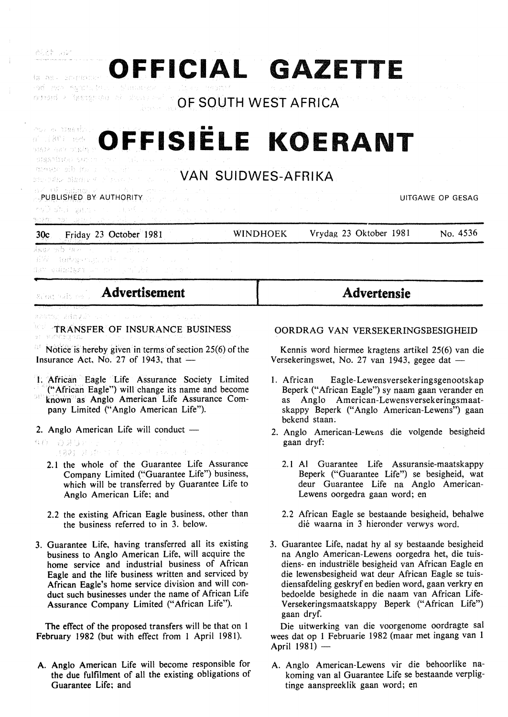| <u>s as presented the second second service and the second computer of the second second second second second second</u><br><mark>od 1970 registrato</mark> e objektovanja vlada vodini (1999) je povezal se se vrati se se se vrati se sve se se standa<br>$\mathsf{OPT}$ and $\mathsf{OPT}$ and $\mathsf{OPT}$ are $\mathsf{OPT}$ and $\mathsf{OPT}$ are $\mathsf{OPT}$ and $\mathsf{OPT}$ are $\mathsf{OPT}$ are $\mathsf{OPT}$ are $\mathsf{OPT}$ are $\mathsf{OPT}$ are $\mathsf{OPT}$ are $\mathsf{OPT}$ are $\mathsf{OPT}$ are $\mathsf{OPT}$ are $\mathsf{OPT}$ are $\mathsf{OPT}$ are |                   |
|------------------------------------------------------------------------------------------------------------------------------------------------------------------------------------------------------------------------------------------------------------------------------------------------------------------------------------------------------------------------------------------------------------------------------------------------------------------------------------------------------------------------------------------------------------------------------------------------|-------------------|
|                                                                                                                                                                                                                                                                                                                                                                                                                                                                                                                                                                                                |                   |
| OFFISIËLE KOERANT<br>BIBATDIAN SROOT 的生产 的复数 中国 Second Society of The Lot                                                                                                                                                                                                                                                                                                                                                                                                                                                                                                                      |                   |
| <b>MAN SUIDWES-AFRIKA</b>                                                                                                                                                                                                                                                                                                                                                                                                                                                                                                                                                                      | <b>Contractor</b> |
| ozi na podpisuje v području i za se podpisuje na podpisuje na podpisuje na podpisuje na podpisuje na podpisuje<br>Sp <b>ublici stredjev Authority</b> sporta podpisuje na podpisuje na podpisuje na podpisuje na podpisuje na podpisuje<br>**◎ 頭は、裏紙ない にっぽい( couple) - 明治 いんけんど カード・コード キャーク オート・コード<br>media von Leine Lange De Le Paulon en Berlingen                                                                                                                                                                                                                                        | UITGAWE OP GESAG  |

**OFFICIAL GAZETTE** 

| 30c Friday 23 October 1981                          | WINDHOEK | Vrydag 23 Oktober 1981 | No. 4536 |
|-----------------------------------------------------|----------|------------------------|----------|
| - 遠知鉄石 かどな きあえり いちいい しょうしい こけいかいし                   |          |                        |          |
| - お嫁し (現代後半の)に出来したがった アルコルート                        |          |                        |          |
| <b>TASY GUERNIARY</b> WAS SAFE OF A 2010 TO THE TOO |          |                        |          |

| SAGE AND THE SAGE |  | Advertisement |  |
|-------------------|--|---------------|--|
|                   |  |               |  |

#Astor AdmySh

高速、海运

brek TRANSFER OF INSURANCE BUSINESS

Notice is hereby given in terms of section 25(6) of the Insurance Act, No. 27 of 1943, that  $-$ 

- I. African Eagle Life Assurance Society Limited ("African Eagle") will· change its name and become
- known as Anglo American Life Assurance Company Limited ("Anglo American Life").
- 2. Anglo American Life will conduct  $-$
- $\mathcal{A}_{\mathcal{B}}=\mathcal{I}_{\mathcal{A}}\mathcal{I}_{\mathcal{B}}\mathcal{I}_{\mathcal{B}}\mathcal{I}_{\mathcal{B}}\mathcal{I}_{\mathcal{B}}$ AO DAURES (RQ) 足足中的 ()
	- 2.1 the whole of the Guarantee Life Assurance Company Limited ("Guarantee Life") business, which will be transferred by Guarantee Life to Anglo American Life; and
	- 2.2 the existing African Eagle business, other than the business referred to in 3. below.
- 3. Guarantee Life, having transferred all its existing business to Anglo American Life, will acquire the home service and industrial business of African Eagle and the life business written and serviced by African Eagle's home service division and will conduct such businesses under the name of African Life Assurance Company Limited ("African Life").

The effect of the proposed transfers will be that on I February 1982 (but with effect from 1 April 1981).

A. Anglo American Life will become responsible for the due fulfilment of all the existing obligations of Guarantee Life; and

## OORDRAG VAN VERSEKERINGSBESIGHEID

**Advertensie** 

Kennis word hiermee kragtens artikel 25(6) van die Versekeringswet, No. 27 van 1943, gegee dat  $-$ 

- I. African Eagle-Lewensversekeringsgenootskap Beperk ("African Eagle") sy naam gaan verander en as Anglo American-Lewensversekeringsmaatskappy Beperk ("Anglo American-Lewens") gaan bekend staan.
- 2. Anglo American-Lewcns die volgende besigheid gaan dryf:
	- 2.1 AI Guarantee Life Assuransie-maatskappy Beperk ("Guarantee Life") se besigheid, wat deur Guarantee Life na Anglo American-Lewens oorgedra gaan word; en
	- 2. 2 African Eagle se bestaande besigheid, behalwe die waarna in 3 hieronder verwys word.
- 3. Guarantee Life, nadat hy al sy bestaande besigheid na Anglo American-Lewens oorgedra het, die tuisdiens- en industriele besigheid van African Eagle en die lewensbesigheid wat deur African Eagle se tuisdiensafdeling geskryf en bedien word, gaan verkry en bedoelde besighede in die naam van African Life-Versekeringsmaatskappy Beperk ("African Life") gaan dryf.

Die uitwerking van die voorgenome oordragte sal wees dat op 1 Februarie 1982 (maar met ingang van 1 April 1981) -

A. Anglo American-Lewens vir die behoorlike nakoming van al Guarantee Life se bestaande verpligtinge aanspreeklik gaan word; en